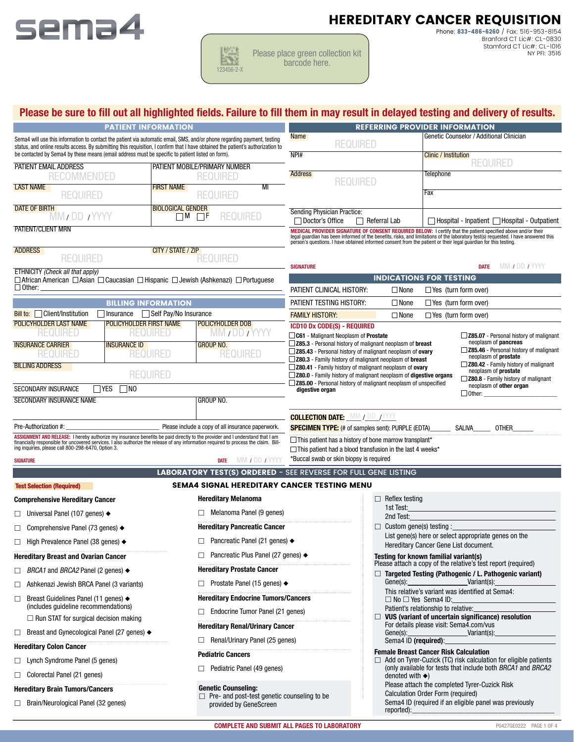

|            | lease |
|------------|-------|
| 123456-2-X |       |

place green collection kit barcode here.

Phone: 833-486-6260 / Fax: 516-953-8154 HEREDITARY CANCER REQUISITION

Branford CT Lic#: CL-0830 Stamford CT Lic#: CL-1016 NY PFI: 3516

# **Please be sure to fill out all highlighted fields. Failure to fill them in may result in delayed testing and delivery of results.**

|                                                                                                                                                                                                                                                                                                                                                                  |                                                                              |                                                                                                                                                                                                                                                                                                           | Please be sure to fill out all nighlighted fields. Failure to fill them in may result in delayed testing and delivery of results.                                                                                                |  |  |  |
|------------------------------------------------------------------------------------------------------------------------------------------------------------------------------------------------------------------------------------------------------------------------------------------------------------------------------------------------------------------|------------------------------------------------------------------------------|-----------------------------------------------------------------------------------------------------------------------------------------------------------------------------------------------------------------------------------------------------------------------------------------------------------|----------------------------------------------------------------------------------------------------------------------------------------------------------------------------------------------------------------------------------|--|--|--|
| <b>PATIENT INFORMATION</b>                                                                                                                                                                                                                                                                                                                                       |                                                                              | <b>REFERRING PROVIDER INFORMATION</b>                                                                                                                                                                                                                                                                     |                                                                                                                                                                                                                                  |  |  |  |
| Sema4 will use this information to contact the patient via automatic email, SMS, and/or phone regarding payment, testing<br>status, and online results access. By submitting this requisition, I confirm that I have obtained the patient's authorization to<br>be contacted by Sema4 by these means (email address must be specific to patient listed on form). |                                                                              | <b>Name</b><br><b>REQUIRED</b>                                                                                                                                                                                                                                                                            | Genetic Counselor / Additional Clinician                                                                                                                                                                                         |  |  |  |
|                                                                                                                                                                                                                                                                                                                                                                  |                                                                              | NPI#                                                                                                                                                                                                                                                                                                      | <b>Clinic / Institution</b><br><b>REQUIRED</b>                                                                                                                                                                                   |  |  |  |
| PATIENT EMAIL ADDRESS<br><b>RECOMMENDED</b>                                                                                                                                                                                                                                                                                                                      | PATIENT MOBILE/PRIMARY NUMBER<br><b>REQUIRED</b>                             | <b>Address</b><br><b>REQUIRED</b>                                                                                                                                                                                                                                                                         | Telephone                                                                                                                                                                                                                        |  |  |  |
| <b>LAST NAME</b><br><b>REQUIRED</b>                                                                                                                                                                                                                                                                                                                              | <b>FIRST NAME</b><br>MI<br><b>REQUIRED</b>                                   |                                                                                                                                                                                                                                                                                                           | Fax                                                                                                                                                                                                                              |  |  |  |
| <b>DATE OF BIRTH</b><br>MM / DD / YYYY                                                                                                                                                                                                                                                                                                                           | <b>BIOLOGICAL GENDER</b><br><b>REQUIRED</b><br>$\Box M$ $\Box F$             | <b>Sending Physician Practice:</b><br>Doctor's Office<br>$\Box$ Referral Lab                                                                                                                                                                                                                              | Hospital - Inpatient   Hospital - Outpatient                                                                                                                                                                                     |  |  |  |
| <b>PATIENT/CLIENT MRN</b>                                                                                                                                                                                                                                                                                                                                        |                                                                              | person's questions. I have obtained informed consent from the patient or their legal guardian for this testing.                                                                                                                                                                                           | MEDICAL PROVIDER SIGNATURE OF CONSENT REQUIRED BELOW: I certify that the patient specified above and/or their<br>legal guardian has been informed of the benefits, risks, and limitations of the laboratory test(s) requested. I |  |  |  |
| <b>ADDRESS</b>                                                                                                                                                                                                                                                                                                                                                   | CITY / STATE / ZIP                                                           |                                                                                                                                                                                                                                                                                                           |                                                                                                                                                                                                                                  |  |  |  |
| <b>REQUIRED</b>                                                                                                                                                                                                                                                                                                                                                  | <b>REQUIRED</b>                                                              | <b>SIGNATURE</b>                                                                                                                                                                                                                                                                                          | MM / DD / YYYY<br><b>DATE</b>                                                                                                                                                                                                    |  |  |  |
| <b>ETHNICITY</b> (Check all that apply)<br>□ African American □ Asian □ Caucasian □ Hispanic □ Jewish (Ashkenazi) □ Portuguese                                                                                                                                                                                                                                   |                                                                              |                                                                                                                                                                                                                                                                                                           | <b>INDICATIONS FOR TESTING</b>                                                                                                                                                                                                   |  |  |  |
| $\Box$ Other:                                                                                                                                                                                                                                                                                                                                                    |                                                                              | PATIENT CLINICAL HISTORY:<br>$\Box$ None                                                                                                                                                                                                                                                                  | $\Box$ Yes (turn form over)                                                                                                                                                                                                      |  |  |  |
| <b>BILLING INFORMATION</b>                                                                                                                                                                                                                                                                                                                                       |                                                                              | PATIENT TESTING HISTORY:<br>$\Box$ None                                                                                                                                                                                                                                                                   | $\Box$ Yes (turn form over)                                                                                                                                                                                                      |  |  |  |
| $Bill$ to: $\Box$ Client/Institution                                                                                                                                                                                                                                                                                                                             | 1nsurance <del>Self</del> Pay/No Insurance                                   | <b>FAMILY HISTORY:</b><br>$\Box$ None                                                                                                                                                                                                                                                                     | $\Box$ Yes (turn form over)                                                                                                                                                                                                      |  |  |  |
| <b>POLICYHOLDER FIRST NAME</b><br>POLICYHOLDER LAST NAME<br><b>REQUIRED</b><br><b>REQUIRED</b>                                                                                                                                                                                                                                                                   | POLICYHOLDER DOB<br><b>WW / DD / YYYY</b>                                    | <b>ICD10 Dx CODE(S) - REQUIRED</b>                                                                                                                                                                                                                                                                        |                                                                                                                                                                                                                                  |  |  |  |
| <b>INSURANCE CARRIER</b><br><b>INSURANCE ID</b><br><b>REQUIRED</b><br>REQUIRED                                                                                                                                                                                                                                                                                   | <b>GROUP NO.</b><br><b>REQUIRED</b>                                          | <b>C61</b> - Malignant Neoplasm of Prostate<br>Z85.07 - Personal history of malignant<br>neoplasm of pancreas<br>Z85.3 - Personal history of malignant neoplasm of breast<br>Z85.46 - Personal history of malignant<br>□ Z85.43 - Personal history of malignant neoplasm of ovary<br>neoplasm of prostate |                                                                                                                                                                                                                                  |  |  |  |
| <b>BILLING ADDRESS</b><br><b>REQUIRED</b>                                                                                                                                                                                                                                                                                                                        |                                                                              | □ Z80.3 - Family history of malignant neoplasm of breast<br>Z80.42 - Family history of malignant<br>□ Z80.41 - Family history of malignant neoplasm of ovary<br>neoplasm of prostate<br>□ Z80.0 - Family history of malignant neoplasm of digestive organs<br>Z80.8 - Family history of malignant         |                                                                                                                                                                                                                                  |  |  |  |
| $\Box$ yes<br><b>SECONDARY INSURANCE</b><br>$\square$ NO                                                                                                                                                                                                                                                                                                         |                                                                              | $\Box$ Z85.00 - Personal history of malignant neoplasm of unspecified<br>digestive organ                                                                                                                                                                                                                  | neoplasm of other organ<br>$\Box$ Other:                                                                                                                                                                                         |  |  |  |
| <b>SECONDARY INSURANCE NAME</b>                                                                                                                                                                                                                                                                                                                                  | GROUP NO.                                                                    |                                                                                                                                                                                                                                                                                                           |                                                                                                                                                                                                                                  |  |  |  |
|                                                                                                                                                                                                                                                                                                                                                                  |                                                                              | <b>COLLECTION DATE: MM / DD /YYYY</b>                                                                                                                                                                                                                                                                     |                                                                                                                                                                                                                                  |  |  |  |
| Pre-Authorization #:                                                                                                                                                                                                                                                                                                                                             | Please include a copy of all insurance paperwork.                            | <b>SPECIMEN TYPE:</b> (# of samples sent): PURPLE (EDTA) SALIVA                                                                                                                                                                                                                                           | <b>OTHER</b>                                                                                                                                                                                                                     |  |  |  |
| ASSIGNMENT AND RELEASE: I hereby authorize my insurance benefits be paid directly to the provider and I understand that I am<br>financially responsible for uncovered services. I also authorize the release of any information r<br>ing inquiries, please call 800-298-6470, Option 3.                                                                          |                                                                              | $\Box$ This patient has a history of bone marrow transplant*<br>$\Box$ This patient had a blood transfusion in the last 4 weeks*                                                                                                                                                                          |                                                                                                                                                                                                                                  |  |  |  |
| <b>SIGNATURE</b>                                                                                                                                                                                                                                                                                                                                                 | MM <i>I</i> DD <i>I</i> YYYY<br><b>DATE</b>                                  | *Buccal swab or skin biopsy is required                                                                                                                                                                                                                                                                   |                                                                                                                                                                                                                                  |  |  |  |
|                                                                                                                                                                                                                                                                                                                                                                  |                                                                              | <b>LABORATORY TEST(S) ORDERED - SEE REVERSE FOR FULL GENE LISTING</b>                                                                                                                                                                                                                                     |                                                                                                                                                                                                                                  |  |  |  |
| <b>Test Selection (Required)</b>                                                                                                                                                                                                                                                                                                                                 | <b>SEMA4 SIGNAL HEREDITARY CANCER TESTING MENU</b>                           |                                                                                                                                                                                                                                                                                                           |                                                                                                                                                                                                                                  |  |  |  |
| <b>Comprehensive Hereditary Cancer</b>                                                                                                                                                                                                                                                                                                                           | <b>Hereditary Melanoma</b>                                                   | $\Box$ Reflex testing<br>1st Test:                                                                                                                                                                                                                                                                        |                                                                                                                                                                                                                                  |  |  |  |
| □ Universal Panel (107 genes) $\blacklozenge$                                                                                                                                                                                                                                                                                                                    | Melanoma Panel (9 genes)                                                     | 2nd Test:                                                                                                                                                                                                                                                                                                 |                                                                                                                                                                                                                                  |  |  |  |
| $\Box$ Comprehensive Panel (73 genes) $\triangleleft$                                                                                                                                                                                                                                                                                                            | <b>Hereditary Pancreatic Cancer</b>                                          | $\Box$ Custom gene(s) testing :                                                                                                                                                                                                                                                                           |                                                                                                                                                                                                                                  |  |  |  |
| $\Box$ High Prevalence Panel (38 genes) $\triangleleft$                                                                                                                                                                                                                                                                                                          | Pancreatic Panel (21 genes) $\blacklozenge$                                  |                                                                                                                                                                                                                                                                                                           | List gene(s) here or select appropriate genes on the<br>Hereditary Cancer Gene List document.                                                                                                                                    |  |  |  |
| <b>Hereditary Breast and Ovarian Cancer</b>                                                                                                                                                                                                                                                                                                                      | Pancreatic Plus Panel (27 genes) ♦                                           |                                                                                                                                                                                                                                                                                                           | Testing for known familial variant(s)                                                                                                                                                                                            |  |  |  |
| BRCA1 and BRCA2 Panel (2 genes) $\triangleleft$<br>□                                                                                                                                                                                                                                                                                                             | <b>Hereditary Prostate Cancer</b>                                            |                                                                                                                                                                                                                                                                                                           | Please attach a copy of the relative's test report (required)<br>$\Box$ Targeted Testing (Pathogenic / L. Pathogenic variant)                                                                                                    |  |  |  |
| Ashkenazi Jewish BRCA Panel (3 variants)<br>⊔                                                                                                                                                                                                                                                                                                                    | Prostate Panel (15 genes) $\blacklozenge$                                    |                                                                                                                                                                                                                                                                                                           | Variant(s):<br>Gene(s):                                                                                                                                                                                                          |  |  |  |
| Breast Guidelines Panel (11 genes) ◆<br>□<br>(includes guideline recommendations)                                                                                                                                                                                                                                                                                | <b>Hereditary Endocrine Tumors/Cancers</b>                                   |                                                                                                                                                                                                                                                                                                           | This relative's variant was identified at Sema4:<br>$\Box$ No $\Box$ Yes Sema4 ID:                                                                                                                                               |  |  |  |
| $\Box$ Run STAT for surgical decision making                                                                                                                                                                                                                                                                                                                     | Endocrine Tumor Panel (21 genes)                                             |                                                                                                                                                                                                                                                                                                           | Patient's relationship to relative:<br>VUS (variant of uncertain significance) resolution                                                                                                                                        |  |  |  |
| Breast and Gynecological Panel (27 genes) ♦<br>□                                                                                                                                                                                                                                                                                                                 | <b>Hereditary Renal/Urinary Cancer</b>                                       | Gene(s):                                                                                                                                                                                                                                                                                                  | For details please visit: Sema4.com/vus<br>Variant(s):                                                                                                                                                                           |  |  |  |
| Renal/Urinary Panel (25 genes)<br><b>Hereditary Colon Cancer</b>                                                                                                                                                                                                                                                                                                 |                                                                              |                                                                                                                                                                                                                                                                                                           | Sema4 ID (required):                                                                                                                                                                                                             |  |  |  |
| $\Box$ Lynch Syndrome Panel (5 genes)                                                                                                                                                                                                                                                                                                                            | <b>Pediatric Cancers</b>                                                     | <b>Female Breast Cancer Risk Calculation</b><br>Add on Tyrer-Cuzick (TC) risk calculation for eligible patients                                                                                                                                                                                           |                                                                                                                                                                                                                                  |  |  |  |
| $\Box$ Colorectal Panel (21 genes)                                                                                                                                                                                                                                                                                                                               | Pediatric Panel (49 genes)                                                   | (only available for tests that include both BRCA1 and BRCA2<br>denoted with $\blacklozenge$ )                                                                                                                                                                                                             |                                                                                                                                                                                                                                  |  |  |  |
| <b>Hereditary Brain Tumors/Cancers</b>                                                                                                                                                                                                                                                                                                                           | <b>Genetic Counseling:</b>                                                   |                                                                                                                                                                                                                                                                                                           | Please attach the completed Tyrer-Cuzick Risk                                                                                                                                                                                    |  |  |  |
| □ Brain/Neurological Panel (32 genes)                                                                                                                                                                                                                                                                                                                            | $\Box$ Pre- and post-test genetic counseling to be<br>provided by GeneScreen |                                                                                                                                                                                                                                                                                                           | Calculation Order Form (required)<br>Sema4 ID (required if an eligible panel was previously                                                                                                                                      |  |  |  |

- □ Brain/Neurological Panel (32 genes)
- provided by GeneScreen

 $reported)$ :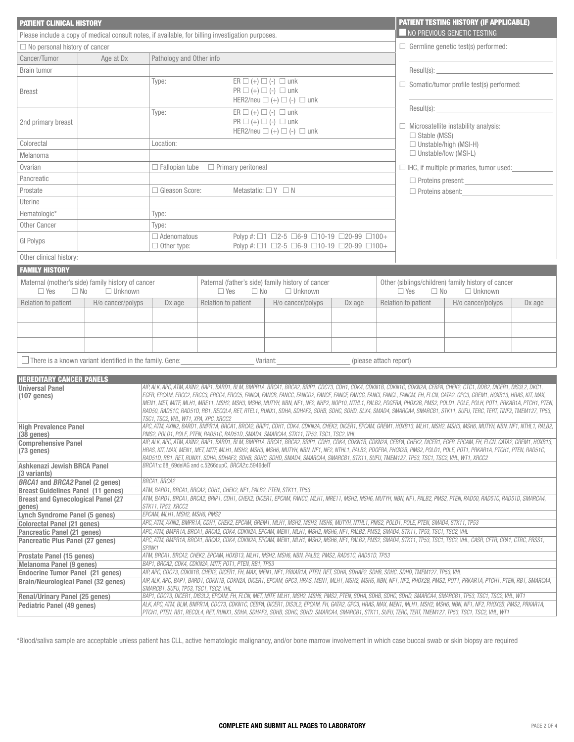| <b>PATIENT CLINICAL HISTORY</b>                                                                                                                                                                                                                                                                                                                                             |                                                                                                                                                                                                                                                                     |                                                                                                                                                                                                                                                                                                                                                 |                                                                                                                                                                                                                                                                                                                                                                                                                                                                                                                                                                                                                                                                                                |                                                                                                                                   |                        |  |                                                                                  | <b>PATIENT TESTING HISTORY (IF APPLICABLE)</b>     |        |  |
|-----------------------------------------------------------------------------------------------------------------------------------------------------------------------------------------------------------------------------------------------------------------------------------------------------------------------------------------------------------------------------|---------------------------------------------------------------------------------------------------------------------------------------------------------------------------------------------------------------------------------------------------------------------|-------------------------------------------------------------------------------------------------------------------------------------------------------------------------------------------------------------------------------------------------------------------------------------------------------------------------------------------------|------------------------------------------------------------------------------------------------------------------------------------------------------------------------------------------------------------------------------------------------------------------------------------------------------------------------------------------------------------------------------------------------------------------------------------------------------------------------------------------------------------------------------------------------------------------------------------------------------------------------------------------------------------------------------------------------|-----------------------------------------------------------------------------------------------------------------------------------|------------------------|--|----------------------------------------------------------------------------------|----------------------------------------------------|--------|--|
| Please include a copy of medical consult notes, if available, for billing investigation purposes.                                                                                                                                                                                                                                                                           |                                                                                                                                                                                                                                                                     |                                                                                                                                                                                                                                                                                                                                                 | NO PREVIOUS GENETIC TESTING                                                                                                                                                                                                                                                                                                                                                                                                                                                                                                                                                                                                                                                                    |                                                                                                                                   |                        |  |                                                                                  |                                                    |        |  |
| $\Box$ No personal history of cancer                                                                                                                                                                                                                                                                                                                                        |                                                                                                                                                                                                                                                                     |                                                                                                                                                                                                                                                                                                                                                 |                                                                                                                                                                                                                                                                                                                                                                                                                                                                                                                                                                                                                                                                                                | $\Box$ Germline genetic test(s) performed:                                                                                        |                        |  |                                                                                  |                                                    |        |  |
| Cancer/Tumor                                                                                                                                                                                                                                                                                                                                                                | Age at Dx                                                                                                                                                                                                                                                           | Pathology and Other info                                                                                                                                                                                                                                                                                                                        |                                                                                                                                                                                                                                                                                                                                                                                                                                                                                                                                                                                                                                                                                                |                                                                                                                                   |                        |  |                                                                                  |                                                    |        |  |
| <b>Brain tumor</b>                                                                                                                                                                                                                                                                                                                                                          |                                                                                                                                                                                                                                                                     |                                                                                                                                                                                                                                                                                                                                                 |                                                                                                                                                                                                                                                                                                                                                                                                                                                                                                                                                                                                                                                                                                |                                                                                                                                   |                        |  |                                                                                  | Result(s):                                         |        |  |
| <b>Breast</b>                                                                                                                                                                                                                                                                                                                                                               |                                                                                                                                                                                                                                                                     | Type:                                                                                                                                                                                                                                                                                                                                           | $ER \square (+) \square (-) \square$ unk<br>$\Box$ Somatic/tumor profile test(s) performed:<br>$PR \square (+) \square (-) \square$ unk<br>HER2/neu $\Box$ (+) $\Box$ (-) $\Box$ unk                                                                                                                                                                                                                                                                                                                                                                                                                                                                                                           |                                                                                                                                   |                        |  |                                                                                  |                                                    |        |  |
| 2nd primary breast                                                                                                                                                                                                                                                                                                                                                          |                                                                                                                                                                                                                                                                     | Type:                                                                                                                                                                                                                                                                                                                                           |                                                                                                                                                                                                                                                                                                                                                                                                                                                                                                                                                                                                                                                                                                | $ER \square (+) \square (-) \square$ unk<br>$PR \square (+) \square (-) \square$ unk<br>HER2/neu $\Box$ (+) $\Box$ (-) $\Box$ unk |                        |  | Result(s):<br>$\Box$ Microsatellite instability analysis:<br>$\Box$ Stable (MSS) |                                                    |        |  |
| Colorectal                                                                                                                                                                                                                                                                                                                                                                  |                                                                                                                                                                                                                                                                     | Location:                                                                                                                                                                                                                                                                                                                                       |                                                                                                                                                                                                                                                                                                                                                                                                                                                                                                                                                                                                                                                                                                |                                                                                                                                   |                        |  | $\Box$ Unstable/high (MSI-H)<br>□ Unstable/low (MSI-L)                           |                                                    |        |  |
| Melanoma                                                                                                                                                                                                                                                                                                                                                                    |                                                                                                                                                                                                                                                                     |                                                                                                                                                                                                                                                                                                                                                 |                                                                                                                                                                                                                                                                                                                                                                                                                                                                                                                                                                                                                                                                                                |                                                                                                                                   |                        |  |                                                                                  |                                                    |        |  |
| Ovarian                                                                                                                                                                                                                                                                                                                                                                     |                                                                                                                                                                                                                                                                     | $\Box$ Fallopian tube                                                                                                                                                                                                                                                                                                                           | $\Box$ Primary peritoneal                                                                                                                                                                                                                                                                                                                                                                                                                                                                                                                                                                                                                                                                      |                                                                                                                                   |                        |  | $\Box$ IHC, if multiple primaries, tumor used:                                   |                                                    |        |  |
| Pancreatic                                                                                                                                                                                                                                                                                                                                                                  |                                                                                                                                                                                                                                                                     |                                                                                                                                                                                                                                                                                                                                                 |                                                                                                                                                                                                                                                                                                                                                                                                                                                                                                                                                                                                                                                                                                |                                                                                                                                   |                        |  | $\Box$ Proteins present:<br>$\Box$ Proteins absent:                              |                                                    |        |  |
| Prostate                                                                                                                                                                                                                                                                                                                                                                    |                                                                                                                                                                                                                                                                     | □ Gleason Score:                                                                                                                                                                                                                                                                                                                                | Metastatic: $\Box Y \Box N$                                                                                                                                                                                                                                                                                                                                                                                                                                                                                                                                                                                                                                                                    |                                                                                                                                   |                        |  |                                                                                  |                                                    |        |  |
| Uterine                                                                                                                                                                                                                                                                                                                                                                     |                                                                                                                                                                                                                                                                     |                                                                                                                                                                                                                                                                                                                                                 |                                                                                                                                                                                                                                                                                                                                                                                                                                                                                                                                                                                                                                                                                                |                                                                                                                                   |                        |  |                                                                                  |                                                    |        |  |
| Hematologic*                                                                                                                                                                                                                                                                                                                                                                |                                                                                                                                                                                                                                                                     | Type:                                                                                                                                                                                                                                                                                                                                           |                                                                                                                                                                                                                                                                                                                                                                                                                                                                                                                                                                                                                                                                                                |                                                                                                                                   |                        |  |                                                                                  |                                                    |        |  |
| <b>Other Cancer</b>                                                                                                                                                                                                                                                                                                                                                         |                                                                                                                                                                                                                                                                     | Type:                                                                                                                                                                                                                                                                                                                                           |                                                                                                                                                                                                                                                                                                                                                                                                                                                                                                                                                                                                                                                                                                |                                                                                                                                   |                        |  |                                                                                  |                                                    |        |  |
| GI Polyps                                                                                                                                                                                                                                                                                                                                                                   |                                                                                                                                                                                                                                                                     | $\Box$ Adenomatous<br>$\Box$ Other type:                                                                                                                                                                                                                                                                                                        |                                                                                                                                                                                                                                                                                                                                                                                                                                                                                                                                                                                                                                                                                                | Polyp #: □1 □2-5 □6-9 □10-19 □20-99 □100+<br>Polyp #: □1 □2-5 □6-9 □10-19 □20-99 □100+                                            |                        |  |                                                                                  |                                                    |        |  |
| Other clinical history:                                                                                                                                                                                                                                                                                                                                                     |                                                                                                                                                                                                                                                                     |                                                                                                                                                                                                                                                                                                                                                 |                                                                                                                                                                                                                                                                                                                                                                                                                                                                                                                                                                                                                                                                                                |                                                                                                                                   |                        |  |                                                                                  |                                                    |        |  |
| <b>FAMILY HISTORY</b>                                                                                                                                                                                                                                                                                                                                                       |                                                                                                                                                                                                                                                                     |                                                                                                                                                                                                                                                                                                                                                 |                                                                                                                                                                                                                                                                                                                                                                                                                                                                                                                                                                                                                                                                                                |                                                                                                                                   |                        |  |                                                                                  |                                                    |        |  |
|                                                                                                                                                                                                                                                                                                                                                                             | Maternal (mother's side) family history of cancer                                                                                                                                                                                                                   |                                                                                                                                                                                                                                                                                                                                                 |                                                                                                                                                                                                                                                                                                                                                                                                                                                                                                                                                                                                                                                                                                | Paternal (father's side) family history of cancer                                                                                 |                        |  |                                                                                  | Other (siblings/children) family history of cancer |        |  |
| $\Box$ Yes                                                                                                                                                                                                                                                                                                                                                                  | $\Box$ Unknown<br>$\Box$ No                                                                                                                                                                                                                                         |                                                                                                                                                                                                                                                                                                                                                 | $\Box$ Yes<br>$\Box$ No                                                                                                                                                                                                                                                                                                                                                                                                                                                                                                                                                                                                                                                                        | $\Box$ Unknown                                                                                                                    |                        |  | $\Box$ Unknown<br>$\Box$ Yes<br>$\Box$ No                                        |                                                    |        |  |
| Relation to patient                                                                                                                                                                                                                                                                                                                                                         | H/o cancer/polyps                                                                                                                                                                                                                                                   | Dx age                                                                                                                                                                                                                                                                                                                                          | Relation to patient                                                                                                                                                                                                                                                                                                                                                                                                                                                                                                                                                                                                                                                                            | H/o cancer/polyps                                                                                                                 | Dx age                 |  | Relation to patient                                                              | H/o cancer/polyps                                  | Dx age |  |
|                                                                                                                                                                                                                                                                                                                                                                             |                                                                                                                                                                                                                                                                     |                                                                                                                                                                                                                                                                                                                                                 |                                                                                                                                                                                                                                                                                                                                                                                                                                                                                                                                                                                                                                                                                                |                                                                                                                                   |                        |  |                                                                                  |                                                    |        |  |
|                                                                                                                                                                                                                                                                                                                                                                             |                                                                                                                                                                                                                                                                     |                                                                                                                                                                                                                                                                                                                                                 |                                                                                                                                                                                                                                                                                                                                                                                                                                                                                                                                                                                                                                                                                                |                                                                                                                                   |                        |  |                                                                                  |                                                    |        |  |
|                                                                                                                                                                                                                                                                                                                                                                             |                                                                                                                                                                                                                                                                     |                                                                                                                                                                                                                                                                                                                                                 |                                                                                                                                                                                                                                                                                                                                                                                                                                                                                                                                                                                                                                                                                                | Variant: Warehouse Marian Marian Service School                                                                                   |                        |  |                                                                                  |                                                    |        |  |
|                                                                                                                                                                                                                                                                                                                                                                             | $\Box$ There is a known variant identified in the family. Gene:_________________________                                                                                                                                                                            |                                                                                                                                                                                                                                                                                                                                                 |                                                                                                                                                                                                                                                                                                                                                                                                                                                                                                                                                                                                                                                                                                |                                                                                                                                   | (please attach report) |  |                                                                                  |                                                    |        |  |
| <b>HEREDITARY CANCER PANELS</b>                                                                                                                                                                                                                                                                                                                                             |                                                                                                                                                                                                                                                                     |                                                                                                                                                                                                                                                                                                                                                 |                                                                                                                                                                                                                                                                                                                                                                                                                                                                                                                                                                                                                                                                                                |                                                                                                                                   |                        |  |                                                                                  |                                                    |        |  |
| <b>Universal Panel</b><br>$(107$ genes)                                                                                                                                                                                                                                                                                                                                     |                                                                                                                                                                                                                                                                     | TSC1, TSC2, VHL, WT1, XPA, XPC, XRCC2                                                                                                                                                                                                                                                                                                           | AIP, ALK, APC, ATM, AXIN2, BAP1, BARD1, BLM, BMPR1A, BRCA1, BRCA2, BRIP1, CDC73, CDH1, CDK4, CDKN1B, CDKN1C, CDKN2A, CEBPA, CHEK2, CTC1, DDB2, DICER1, DIS3L2, DKC1,<br>EGFR, EPCAM, ERCC2, ERCC3, ERCC4, ERCC5, FANCA, FANCB, FANCC, FANCD2, FANCE, FANCF, FANCG, FANCI, FANCL, FANCM, FH, FLCN, GATA2, GPC3, GREM1, HOXB13, HRAS, KIT, MAX,<br>MEN1, MET, MITF, MLH1, MRE11, MSH2, MSH3, MSH6, MUTYH, NBN, NF1, NF2, NHP2, NOP10, NTHL1, PALB2, PDGFRA, PHOX2B, PMS2, POLD1, POLE, POLH, POT1, PRKAR1A, PTCH1, PTEN,<br>RAD50, RAD51C, RAD51D, RB1, RECQL4, RET, RTEL1, RUNX1, SDHA, SDHAF2, SDHB, SDHC, SDHD, SLX4, SMAD4, SMARCA4, SMARCB1, STK11, SUFU, TERC, TERT, TINF2, TMEM127, TP53, |                                                                                                                                   |                        |  |                                                                                  |                                                    |        |  |
| <b>High Prevalence Panel</b><br>(38 genes)                                                                                                                                                                                                                                                                                                                                  |                                                                                                                                                                                                                                                                     | APC, ATM, AXIN2, BARD1, BMPR1A, BRCA1, BRCA2, BRIP1, CDH1, CDK4, CDKN2A, CHEK2, DICER1, EPCAM, GREM1, HOXB13, MLH1, MSH2, MSH3, MSH6, MUTYH, NBN, NF1, NTHL1, PALB2,<br>PMS2, POLD1, POLE, PTEN, RAD51C, RAD51D, SMAD4, SMARCA4, STK11, TP53, TSC1, TSC2, VHL                                                                                   |                                                                                                                                                                                                                                                                                                                                                                                                                                                                                                                                                                                                                                                                                                |                                                                                                                                   |                        |  |                                                                                  |                                                    |        |  |
| <b>Comprehensive Panel</b><br>$(73$ genes)                                                                                                                                                                                                                                                                                                                                  |                                                                                                                                                                                                                                                                     | AIP, ALK, APC, ATM, AXIN2, BAP1, BARD1, BLM, BMPR1A, BRCA1, BRCA2, BRIP1, CDH1, CDK4, CDKN1B, CDKN2A, CEBPA, CHEK2, DICER1, EGFR, EPCAM, FH, FLCN, GATA2, GREM1, HOXB13,<br>HRAS, KIT, MAX, MEN1, MET, MITF, MLH1, MSH2, MSH3, MSH6, MUTYH, NBN, NF1, NF2, NTHL1, PALB2, PDGFRA, PHOX2B, PMS2, POLD1, POLE, POT1, PRKAR1A, PTCH1, PTEN, RAD51C, |                                                                                                                                                                                                                                                                                                                                                                                                                                                                                                                                                                                                                                                                                                |                                                                                                                                   |                        |  |                                                                                  |                                                    |        |  |
| Ashkenazi Jewish BRCA Panel<br>(3 variants)                                                                                                                                                                                                                                                                                                                                 |                                                                                                                                                                                                                                                                     | RAD51D, RB1, RET, RUNX1, SDHA, SDHAF2, SDHB, SDHC, SDHD, SMAD4, SMARCA4, SMARCB1, STK11, SUFU, TMEM127, TP53, TSC1, TSC2, VHL, WT1, XRCC2<br>BRCA1:c.68_69delAG and c.5266dupC, BRCA2:c.5946delT                                                                                                                                                |                                                                                                                                                                                                                                                                                                                                                                                                                                                                                                                                                                                                                                                                                                |                                                                                                                                   |                        |  |                                                                                  |                                                    |        |  |
| <b>BRCA1</b> and <b>BRCA2</b> Panel (2 genes)                                                                                                                                                                                                                                                                                                                               |                                                                                                                                                                                                                                                                     | BRCA1, BRCA2                                                                                                                                                                                                                                                                                                                                    |                                                                                                                                                                                                                                                                                                                                                                                                                                                                                                                                                                                                                                                                                                |                                                                                                                                   |                        |  |                                                                                  |                                                    |        |  |
| <b>Breast Guidelines Panel (11 genes)</b>                                                                                                                                                                                                                                                                                                                                   |                                                                                                                                                                                                                                                                     | ATM. BARD1. BRCA1. BRCA2. CDH1. CHEK2. NF1. PALB2. PTEN. STK11. TP53                                                                                                                                                                                                                                                                            |                                                                                                                                                                                                                                                                                                                                                                                                                                                                                                                                                                                                                                                                                                |                                                                                                                                   |                        |  |                                                                                  |                                                    |        |  |
| <b>Breast and Gynecological Panel (27</b><br>genes)                                                                                                                                                                                                                                                                                                                         |                                                                                                                                                                                                                                                                     | ATM, BARD1, BRCA1, BRCA2, BRIP1, CDH1, CHEK2, DICER1, EPCAM, FANCC, MLH1, MRE11, MSH2, MSH6, MUTYH, NBN, NF1, PALB2, PMS2, PTEN, RAD50, RAD51C, RAD51D, SMARCA4,<br>STK11, TP53, XRCC2                                                                                                                                                          |                                                                                                                                                                                                                                                                                                                                                                                                                                                                                                                                                                                                                                                                                                |                                                                                                                                   |                        |  |                                                                                  |                                                    |        |  |
| Lynch Syndrome Panel (5 genes)                                                                                                                                                                                                                                                                                                                                              |                                                                                                                                                                                                                                                                     | EPCAM, MLH1, MSH2, MSH6, PMS2                                                                                                                                                                                                                                                                                                                   |                                                                                                                                                                                                                                                                                                                                                                                                                                                                                                                                                                                                                                                                                                |                                                                                                                                   |                        |  |                                                                                  |                                                    |        |  |
| <b>Colorectal Panel (21 genes)</b>                                                                                                                                                                                                                                                                                                                                          |                                                                                                                                                                                                                                                                     | APC, ATM, AXIN2, BMPR1A, CDH1, CHEK2, EPCAM, GREM1, MLH1, MSH2, MSH3, MSH6, MUTYH, NTHL1, PMS2, POLD1, POLE, PTEN, SMAD4, STK11, TP53                                                                                                                                                                                                           |                                                                                                                                                                                                                                                                                                                                                                                                                                                                                                                                                                                                                                                                                                |                                                                                                                                   |                        |  |                                                                                  |                                                    |        |  |
| APC, ATM, BMPR1A, BRCA1, BRCA2, CDK4, CDKN2A, EPCAM, MEN1, MLH1, MSH2, MSH6, NF1, PALB2, PMS2, SMAD4, STK11, TP53, TSC1, TSC2, VHL<br>Pancreatic Panel (21 genes)<br>APC, ATM, BMPR1A, BRCA1, BRCA2, CDK4, CDKN2A, EPCAM, MEN1, MLH1, MSH2, MSH6, NF1, PALB2, PMS2, SMAD4, STK11, TP53, TSC1, TSC2, VHL, CASR, CFTR, CPA1, CTRC, PRSS1,<br>Pancreatic Plus Panel (27 genes) |                                                                                                                                                                                                                                                                     |                                                                                                                                                                                                                                                                                                                                                 |                                                                                                                                                                                                                                                                                                                                                                                                                                                                                                                                                                                                                                                                                                |                                                                                                                                   |                        |  |                                                                                  |                                                    |        |  |
|                                                                                                                                                                                                                                                                                                                                                                             | SPINK1                                                                                                                                                                                                                                                              |                                                                                                                                                                                                                                                                                                                                                 |                                                                                                                                                                                                                                                                                                                                                                                                                                                                                                                                                                                                                                                                                                |                                                                                                                                   |                        |  |                                                                                  |                                                    |        |  |
| Prostate Panel (15 genes)                                                                                                                                                                                                                                                                                                                                                   |                                                                                                                                                                                                                                                                     | ATM, BRCA1, BRCA2, CHEK2, EPCAM, HOXB13, MLH1, MSH2, MSH6, NBN, PALB2, PMS2, RAD51C, RAD51D, TP53                                                                                                                                                                                                                                               |                                                                                                                                                                                                                                                                                                                                                                                                                                                                                                                                                                                                                                                                                                |                                                                                                                                   |                        |  |                                                                                  |                                                    |        |  |
|                                                                                                                                                                                                                                                                                                                                                                             | BAP1, BRCA2, CDK4, CDKN2A, MITF, POT1, PTEN, RB1, TP53<br>Melanoma Panel (9 genes)<br>AIP, APC, CDC73, CDKN1B, CHEK2, DICER1, FH, MAX, MEN1, NF1, PRKAR1A, PTEN, RET, SDHA, SDHAF2, SDHB, SDHC, SDHD, TMEM127, TP53, VHL<br><b>Endocrine Tumor Panel (21 genes)</b> |                                                                                                                                                                                                                                                                                                                                                 |                                                                                                                                                                                                                                                                                                                                                                                                                                                                                                                                                                                                                                                                                                |                                                                                                                                   |                        |  |                                                                                  |                                                    |        |  |
| <b>Brain/Neurological Panel (32 genes)</b>                                                                                                                                                                                                                                                                                                                                  |                                                                                                                                                                                                                                                                     | AIP, ALK, APC, BAP1, BARD1, CDKN1B, CDKN2A, DICER1, EPCAM, GPC3, HRAS, MEN1, MLH1, MSH2, MSH6, NBN, NF1, NF2, PHOX2B, PMS2, POT1, PRKAR1A, PTCH1, PTEN, RB1, SMARCA4,<br>SMARCB1, SUFU, TP53, TSC1, TSC2, VHL                                                                                                                                   |                                                                                                                                                                                                                                                                                                                                                                                                                                                                                                                                                                                                                                                                                                |                                                                                                                                   |                        |  |                                                                                  |                                                    |        |  |
| <b>Renal/Urinary Panel (25 genes)</b>                                                                                                                                                                                                                                                                                                                                       |                                                                                                                                                                                                                                                                     |                                                                                                                                                                                                                                                                                                                                                 | BAP1, CDC73, DICER1, DIS3L2, EPCAM, FH, FLCN, MET, MITF, MLH1, MSH2, MSH6, PMS2, PTEN, SDHA, SDHB, SDHC, SDHD, SMARCA4, SMARCB1, TP53, TSC1, TSC2, VHL, WT1                                                                                                                                                                                                                                                                                                                                                                                                                                                                                                                                    |                                                                                                                                   |                        |  |                                                                                  |                                                    |        |  |
| <b>Pediatric Panel (49 genes)</b>                                                                                                                                                                                                                                                                                                                                           |                                                                                                                                                                                                                                                                     |                                                                                                                                                                                                                                                                                                                                                 | ALK, APC, ATM, BLM, BMPR1A, CDC73, CDKN1C, CEBPA, DICER1, DIS3L2, EPCAM, FH, GATA2, GPC3, HRAS, MAX, MEN1, MLH1, MSH2, MSH6, NBN, NF1, NF2, PHOX2B, PMS2, PRKAR1A,<br>PTCH1, PTEN, RB1, RECQL4, RET, RUNX1, SDHA, SDHAF2, SDHB, SDHC, SDHD, SMARCA4, SMARCB1, STK11, SUFU, TERC, TERT, TMEM127, TP53, TSC1, TSC2, VHL, WT1                                                                                                                                                                                                                                                                                                                                                                     |                                                                                                                                   |                        |  |                                                                                  |                                                    |        |  |

\*Blood/saliva sample are acceptable unless patient has CLL, active hematologic malignancy, and/or bone marrow involvement in which case buccal swab or skin biopsy are required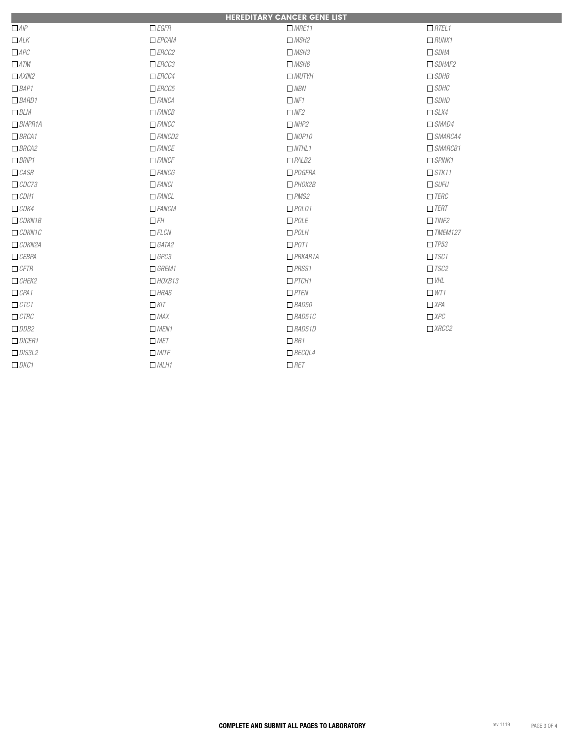|               |                                           | <b>HEREDITARY CANCER GENE LIST</b> |                |
|---------------|-------------------------------------------|------------------------------------|----------------|
| $\Box$ AIP    | $\Box$ EGFR                               | MRE11                              | RTEL1          |
| $\Box$ ALK    | EPCAM                                     | MSH2                               | $\Box$ RUNX1   |
| $\Box$ APC    | ERCC2                                     | MSH3                               | $\Box$ SDHA    |
| $\Box$ ATM    | ERCC3                                     | MSH6                               | $\Box$ SDHAF2  |
| $\Box$ AXIN2  | ERCC4                                     | MUTYH                              | $\Box$ SDHB    |
| $\Box$ BAP1   | ERCC5                                     | $\Box$ NBN                         | $\Box$ SDHC    |
| $\Box$ BARD1  | $A$ FANCA                                 | NFI                                | $\Box$ SDHD    |
| BLM           | $A \cap F \subseteq A \cap C \subseteq B$ | NF2                                | S L X4         |
| $\Box$ BMPR1A | $\Box$ FANCC                              | NHP2                               | $\Box$ SMAD4   |
| B RCA1        | AMOD2                                     | NOP10                              | $\Box$ SMARCA4 |
| BRCA2         | $\Box$ FANCE                              | NTHL1                              | $\Box$ SMARCB1 |
| $\Box$ BRIP1  | $\Box$ FANCF                              | PALB2                              | SPINK1         |
| $\Box$ CASR   | ANCG                                      | $\Box$ PDGFRA                      | STK11          |
| $\Box$ CDC73  | $\Box$ FANCI                              | HOX2B                              | $\Box$ SUFU    |
| $\Box$ CDH1   | $A$ FANCL                                 | $N$ PMS2                           | $\Box$ TERC    |
| $\Box$ CDK4   | $\Box$ FANCM                              | $\Box$ POLD1                       | $\Box$ TERT    |
| $\Box$ CDKN1B | $\Box$ FH                                 | $\Box$ POLE                        | TINE2          |
| $\Box$ CDKN1C | EECN                                      | $D$ POLH                           | $I$ TMEM127    |
| $\Box$ CDKN2A | GATA2                                     | $\Box$ POT1                        | TPS3           |
| CEBPA         | $\Box$ GPC3                               | $P$ RKAR1A                         | TSC1           |
| CFTR          | GREMI                                     | PRSS1                              | TSC2           |
| CHEK2         | HOXB13                                    | $P\mathsf{T}CH1$                   | $\Box$ VHL     |
| CPA1          | H RAS                                     | PTEN                               | W1             |
| $\Box$ CTC1   | $\Box$ KIT                                | $\Box$ RAD50                       | $\Box$ XPA     |
| $\Box$ CTRC   | $\Box$ MAX                                | $\Box$ RAD51C                      | $\Box$ XPC     |
| $\Box$ DDB2   | MEN1                                      | $\Box$ RAD51D                      | XRCC2          |
| DICER1        | $\Box$ MET                                | $\Box$ RB1                         |                |
| DIS3L2        | $\Box$ MITF                               | RECQL4                             |                |
| DKCI          | MCH1                                      | $\Box$ RET                         |                |